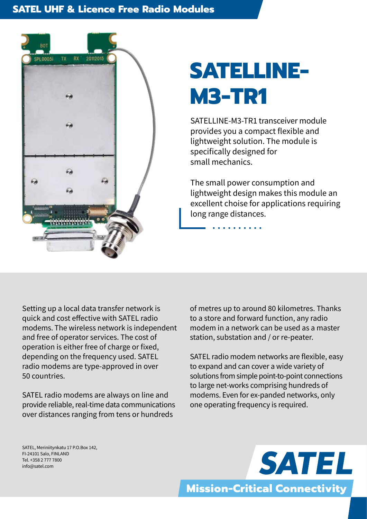#### **SATEL UHF & Licence Free Radio Modules**



# **SATELLINE-M3-TR1**

SATELLINE-M3-TR1 transceiver module provides you a compact flexible and lightweight solution. The module is specifically designed for small mechanics.

The small power consumption and lightweight design makes this module an excellent choise for applications requiring long range distances.

Setting up a local data transfer network is quick and cost effective with SATEL radio modems. The wireless network is independent and free of operator services. The cost of operation is either free of charge or fixed, depending on the frequency used. SATEL radio modems are type-approved in over 50 countries.

SATEL radio modems are always on line and provide reliable, real-time data communications over distances ranging from tens or hundreds

of metres up to around 80 kilometres. Thanks to a store and forward function, any radio modem in a network can be used as a master station, substation and / or re-peater.

SATEL radio modem networks are flexible, easy to expand and can cover a wide variety of solutions from simple point-to-point connections to large net-works comprising hundreds of modems. Even for ex-panded networks, only one operating frequency is required.

SATEL, Meriniitynkatu 17 P.O.Box 142, FI-24101 Salo, FINLAND Tel. +358 2 777 7800 info@satel.com